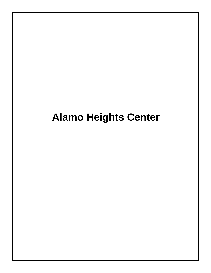# **Alamo Heights Center**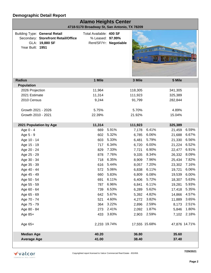| <b>Alamo Heights Center</b><br>4718-5170 Broadway St, San Antonio, TX 78209                                       |                                             |                        |         |               |                |              |  |  |
|-------------------------------------------------------------------------------------------------------------------|---------------------------------------------|------------------------|---------|---------------|----------------|--------------|--|--|
| <b>Building Type: General Retail</b><br>Secondary: Storefront Retail/Office<br>GLA: 19,880 SF<br>Year Built: 1951 | Total Available: 400 SF<br>% Leased: 97.99% | Rent/SF/Yr: Negotiable |         | 21 23 25      | <b>124 Tag</b> |              |  |  |
| <b>Radius</b>                                                                                                     | 1 Mile                                      |                        | 3 Mile  |               | 5 Mile         |              |  |  |
| <b>Population</b>                                                                                                 |                                             |                        |         |               |                |              |  |  |
| 2026 Projection                                                                                                   | 11,964                                      |                        | 118,305 |               | 341,305        |              |  |  |
| 2021 Estimate                                                                                                     | 11,314                                      |                        | 111,923 |               | 325,389        |              |  |  |
| 2010 Census                                                                                                       | 9,244                                       |                        | 91,799  |               | 282,844        |              |  |  |
| Growth 2021 - 2026                                                                                                | 5.75%                                       |                        | 5.70%   |               | 4.89%          |              |  |  |
| Growth 2010 - 2021                                                                                                | 22.39%                                      |                        | 21.92%  |               | 15.04%         |              |  |  |
| 2021 Population by Age                                                                                            | 11,314                                      |                        | 111,923 |               | 325,389        |              |  |  |
| Age 0 - 4                                                                                                         | 669                                         | 5.91%                  | 7,178   | 6.41%         | 21,459         | 6.59%        |  |  |
| Age 5 - 9                                                                                                         | 602                                         | 5.32%                  | 6,785   | 6.06%         | 21,688         | 6.67%        |  |  |
| Age 10 - 14                                                                                                       | 603                                         | 5.33%                  | 6,481   | 5.79%         | 21,330         | 6.56%        |  |  |
| Age 15 - 19                                                                                                       | 717                                         | 6.34%                  | 6,720   | 6.00%         | 21,224         | 6.52%        |  |  |
| Age 20 - 24                                                                                                       | 829                                         | 7.33%                  | 7,721   | 6.90%         | 22,477         | 6.91%        |  |  |
| Age 25 - 29                                                                                                       | 878                                         | 7.76%                  | 9,335   | 8.34%         | 26,332         | 8.09%        |  |  |
| Age 30 - 34                                                                                                       | 718                                         | 6.35%                  | 8,909   | 7.96%         | 25,434         | 7.82%        |  |  |
| Age 35 - 39                                                                                                       | 616                                         | 5.44%                  | 8,057   | 7.20%         | 23,302         | 7.16%        |  |  |
| Age 40 - 44                                                                                                       | 572                                         | 5.06%                  | 6,838   | 6.11%         | 19,721         | 6.06%        |  |  |
| Age 45 - 49                                                                                                       |                                             | 660 5.83%              |         | 6,809 6.08%   |                | 19,539 6.00% |  |  |
| Age 50 - 54                                                                                                       | 691                                         | 6.11%                  | 6,406   | 5.72%         | 18,307         | 5.63%        |  |  |
| Age 55 - 59                                                                                                       | 787                                         | 6.96%                  | 6,841   | 6.11%         | 19,281         | 5.93%        |  |  |
| Age 60 - 64                                                                                                       | 739                                         | 6.53%                  | 6,289   | 5.62%         | 17,418         | 5.35%        |  |  |
| Age 65 - 69                                                                                                       | 642                                         | 5.67%                  | 5,392   | 4.82%         | 14,866         | 4.57%        |  |  |
| Age 70 - 74                                                                                                       | 521                                         | 4.60%                  | 4,272   | 3.82%         | 11,889         | 3.65%        |  |  |
| Age 75 - 79                                                                                                       | 364                                         | 3.22%                  | 2,896   | 2.59%         | 8,173          | 2.51%        |  |  |
| Age 80 - 84                                                                                                       | 273                                         | 2.41%                  | 2,092   | 1.87%         | 5,846          | 1.80%        |  |  |
| Age 85+                                                                                                           | 433                                         | 3.83%                  | 2,903   | 2.59%         | 7,102          | 2.18%        |  |  |
| Age 65+                                                                                                           | 2,233 19.74%                                |                        |         | 17,555 15.68% | 47,876 14.71%  |              |  |  |
| <b>Median Age</b>                                                                                                 | 40.20                                       |                        | 36.80   |               | 35.60          |              |  |  |
| <b>Average Age</b>                                                                                                | 41.00                                       |                        | 38.40   |               | 37.40          |              |  |  |
|                                                                                                                   |                                             |                        |         |               |                |              |  |  |



**7/29/2021**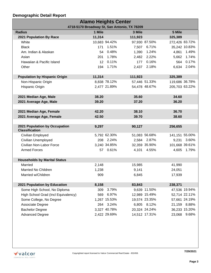| <b>Alamo Heights Center</b>                  |                 |               |         |               |                |                |  |
|----------------------------------------------|-----------------|---------------|---------|---------------|----------------|----------------|--|
| 4718-5170 Broadway St, San Antonio, TX 78209 |                 |               |         |               |                |                |  |
| <b>Radius</b>                                | 1 Mile          |               | 3 Mile  |               | 5 Mile         |                |  |
| 2021 Population By Race                      | 11,314          |               | 111,923 |               | 325,389        |                |  |
| White                                        |                 | 10,683 94.42% |         | 97,930 87.50% |                | 272,426 83.72% |  |
| <b>Black</b>                                 | 171             | 1.51%         | 7,507   | 6.71%         |                | 35,242 10.83%  |  |
| Am. Indian & Alaskan                         | 54              | 0.48%         |         | 1,390 1.24%   | 4,861          | 1.49%          |  |
| Asian                                        | 201             | 1.78%         |         | 2,482 2.22%   | 5,662          | 1.74%          |  |
| Hawaiian & Pacific Island                    | 12 <sup>2</sup> | 0.11%         | 177     | 0.16%         | 564            | 0.17%          |  |
| Other                                        |                 | 194 1.71%     | 2,437   | 2.18%         | 6,634          | 2.04%          |  |
|                                              |                 |               |         |               |                |                |  |
| <b>Population by Hispanic Origin</b>         | 11,314          |               | 111,923 |               | 325,389        |                |  |
| Non-Hispanic Origin                          |                 | 8,838 78.12%  |         | 57,446 51.33% |                | 119,686 36.78% |  |
| <b>Hispanic Origin</b>                       |                 | 2,477 21.89%  |         | 54,478 48.67% |                | 205,703 63.22% |  |
|                                              |                 |               |         |               |                |                |  |
| 2021 Median Age, Male                        | 38.20           |               | 35.60   |               | 34.60          |                |  |
| 2021 Average Age, Male                       | 39.20           |               | 37.20   |               | 36.20          |                |  |
|                                              |                 |               |         |               |                |                |  |
| 2021 Median Age, Female                      | 42.20           |               | 38.10   |               | 36.70          |                |  |
| 2021 Average Age, Female                     | 42.50           |               | 39.70   |               | 38.60          |                |  |
|                                              |                 |               |         |               |                |                |  |
| 2021 Population by Occupation                | 9,297           |               | 90,127  |               | 256,655        |                |  |
| <b>Classification</b>                        |                 |               |         |               |                |                |  |
| Civilian Employed                            |                 | 5,792 62.30%  |         | 51,083 56.68% | 141,151 55.00% |                |  |
| <b>Civilian Unemployed</b>                   |                 | 208 2.24%     |         | 2,584 2.87%   | 9,231          | 3.60%          |  |
| Civilian Non-Labor Force                     |                 | 3,240 34.85%  |         | 32,359 35.90% |                | 101,668 39.61% |  |
| <b>Armed Forces</b>                          |                 | 57 0.61%      |         | 4,101 4.55%   |                | 4,605 1.79%    |  |
|                                              |                 |               |         |               |                |                |  |
| <b>Households by Marital Status</b>          |                 |               |         |               |                |                |  |
| Married                                      | 2,148           |               | 15,985  |               | 41,990         |                |  |
| Married No Children                          | 1,238           |               | 9,141   |               | 24,051         |                |  |
| Married w/Children                           | 909             |               | 6,845   |               | 17,939         |                |  |
|                                              |                 |               |         |               |                |                |  |
| 2021 Population by Education                 | 8,158           |               | 83,843  |               | 238,371        |                |  |
| Some High School, No Diploma                 | 309             | 3.79%         |         | 9,639 11.50%  |                | 47,536 19.94%  |  |
| High School Grad (Incl Equivalency)          | 569             | 6.97%         |         | 12,989 15.49% |                | 52,714 22.11%  |  |
| Some College, No Degree                      |                 | 1,267 15.53%  |         | 19,574 23.35% |                | 57,661 24.19%  |  |
| Associate Degree                             |                 | 264 3.24%     |         | 6,805 8.12%   | 21,159         | 8.88%          |  |
| <b>Bachelor Degree</b>                       |                 | 3,327 40.78%  |         | 20,324 24.24% |                | 36,233 15.20%  |  |
| <b>Advanced Degree</b>                       |                 | 2,422 29.69%  |         | 14,512 17.31% | 23,068         | 9.68%          |  |

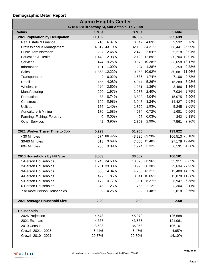| <b>Alamo Heights Center</b>                  |                |              |        |               |         |                |  |
|----------------------------------------------|----------------|--------------|--------|---------------|---------|----------------|--|
| 4718-5170 Broadway St, San Antonio, TX 78209 |                |              |        |               |         |                |  |
| <b>Radius</b>                                | 1 Mile         |              | 3 Mile |               | 5 Mile  |                |  |
| 2021 Population by Occupation                | 11,152         |              | 94,062 |               | 255,639 |                |  |
| Real Estate & Finance                        | 710            | 6.37%        | 3,847  | 4.09%         | 9,532   | 3.73%          |  |
| Professional & Management                    |                | 4,817 43.19% |        | 32,183 34.21% |         | 66,441 25.99%  |  |
| <b>Public Administration</b>                 |                | 297 2.66%    |        | 2,479 2.64%   |         | 5,218 2.04%    |  |
| <b>Education &amp; Health</b>                |                | 1,448 12.98% |        | 12,120 12.89% |         | 30,704 12.01%  |  |
| Services                                     |                | 474 4.25%    |        | 9,670 10.28%  |         | 33,658 13.17%  |  |
| Information                                  | 121            | 1.09%        | 1,204  | 1.28%         | 2,259   | $0.88\%$       |  |
| <b>Sales</b>                                 |                | 1,363 12.22% |        | 10,268 10.92% |         | 30,581 11.96%  |  |
| Transportation                               | $\overline{2}$ | 0.02%        | 1,636  | 1.74%         | 7,106   | 2.78%          |  |
| Retail                                       | 455            | 4.08%        | 4,947  | 5.26%         | 15,289  | 5.98%          |  |
| Wholesale                                    | 279            | 2.50%        | 1,281  | 1.36%         | 3,486   | 1.36%          |  |
| Manufacturing                                | 220            | 1.97%        | 2,256  | 2.40%         | 7,034   | 2.75%          |  |
| Production                                   | 83             | 0.74%        | 3,800  | 4.04%         | 15,075  | 5.90%          |  |
| Construction                                 | 109            | 0.98%        | 3,043  | 3.24%         | 14,427  | 5.64%          |  |
| <b>Utilities</b>                             | 156            | 1.40%        | 1,820  | 1.93%         | 5,245   | 2.05%          |  |
| Agriculture & Mining                         | 176            | 1.58%        | 674    | 0.72%         | 1,681   | 0.66%          |  |
| Farming, Fishing, Forestry                   | $\Omega$       | 0.00%        | 26     | 0.03%         | 342     | 0.13%          |  |
| <b>Other Services</b>                        | 442            | 3.96%        | 2,808  | 2.99%         | 7,561   | 2.96%          |  |
|                                              |                |              |        |               |         |                |  |
| 2021 Worker Travel Time to Job               | 5,293          |              | 51,960 |               | 139,822 |                |  |
| <30 Minutes                                  |                | 4,574 86.42% |        | 43,230 83.20% |         | 106,513 76.18% |  |
| 30-60 Minutes                                |                | 513 9.69%    |        | 7,006 13.48%  |         | 27,178 19.44%  |  |
| 60+ Minutes                                  | 206            | 3.89%        |        | 1,724 3.32%   |         | 6,131 4.38%    |  |
|                                              |                |              |        |               |         |                |  |
| 2010 Households by HH Size                   | 3,603          |              | 36,052 |               | 106,101 |                |  |
| 1-Person Households                          |                | 1,243 34.50% |        | 13,325 36.96% |         | 35,911 33.85%  |  |
| 2-Person Households                          |                | 1,201 33.33% |        | 10,925 30.30% |         | 29,634 27.93%  |  |
| 3-Person Households                          |                | 506 14.04%   |        | 4,763 13.21%  |         | 15,409 14.52%  |  |
| 4-Person Households                          |                | 427 11.85%   |        | 3,841 10.65%  |         | 12,078 11.38%  |  |
| 5-Person Households                          | 172            | 4.77%        | 1,901  | 5.27%         | 6,947   | 6.55%          |  |
| 6-Person Households                          | 45             | 1.25%        | 765    | 2.12%         | 3,304   | 3.11%          |  |
| 7 or more Person Households                  | 9              | 0.25%        | 532    | 1.48%         | 2,818   | 2.66%          |  |
|                                              |                |              |        |               |         |                |  |
| 2021 Average Household Size                  | 2.20           |              | 2.30   |               | 2.50    |                |  |
|                                              |                |              |        |               |         |                |  |
| <b>Households</b>                            |                |              |        |               |         |                |  |
| 2026 Projection                              | 4,573          |              | 45,970 |               | 126,688 |                |  |
| 2021 Estimate                                | 4,337          |              | 43,586 |               | 121,061 |                |  |
| 2010 Census                                  | 3,603          |              | 36,053 |               | 106,101 |                |  |
| Growth 2021 - 2026                           | 5.44%          |              | 5.47%  |               | 4.65%   |                |  |
| Growth 2010 - 2021                           | 20.37%         |              | 20.89% |               | 14.10%  |                |  |
|                                              |                |              |        |               |         |                |  |



**7/29/2021**